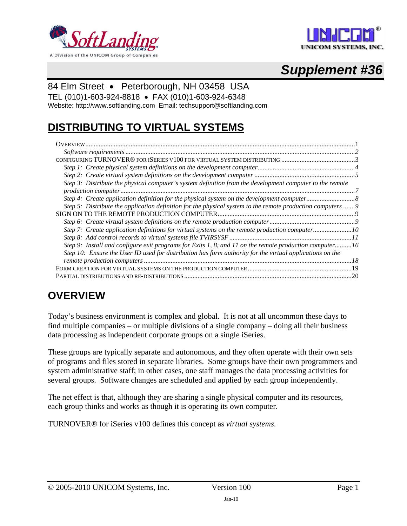<span id="page-0-0"></span>





### 84 Elm Street • Peterborough, NH 03458 USA

TEL (010)1-603-924-8818 • FAX (010)1-603-924-6348

Website: http://www.softlanding.com Email: techsupport@softlanding.com

# **DISTRIBUTING TO VIRTUAL SYSTEMS**

| Step 3: Distribute the physical computer's system definition from the development computer to the remote   |
|------------------------------------------------------------------------------------------------------------|
|                                                                                                            |
|                                                                                                            |
| Step 5: Distribute the application definition for the physical system to the remote production computers 9 |
|                                                                                                            |
|                                                                                                            |
| Step 7: Create application definitions for virtual systems on the remote production computer10             |
|                                                                                                            |
| Step 9: Install and configure exit programs for Exits 1, 8, and 11 on the remote production computer16     |
| Step 10: Ensure the User ID used for distribution has form authority for the virtual applications on the   |
|                                                                                                            |
|                                                                                                            |
| 20<br>AL DISTRIBUTIONS AND RE-DISTRIBUTIONS ……………………………………………………………………………………………                            |

# <span id="page-0-1"></span>**OVERVIEW**

Today's business environment is complex and global. It is not at all uncommon these days to find multiple companies – or multiple divisions of a single company – doing all their business data processing as independent corporate groups on a single iSeries.

These groups are typically separate and autonomous, and they often operate with their own sets of programs and files stored in separate libraries. Some groups have their own programmers and system administrative staff; in other cases, one staff manages the data processing activities for several groups. Software changes are scheduled and applied by each group independently.

The net effect is that, although they are sharing a single physical computer and its resources, each group thinks and works as though it is operating its own computer.

TURNOVER® for iSeries v100 defines this concept as *virtual systems*.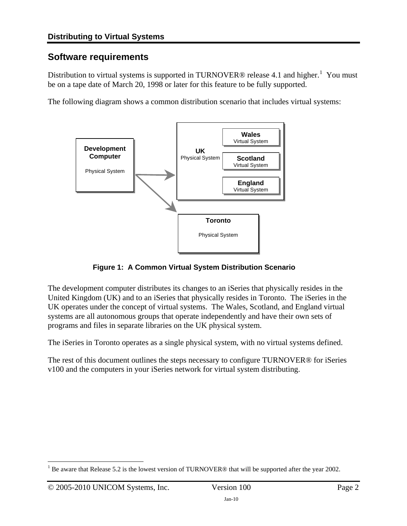## <span id="page-1-1"></span><span id="page-1-0"></span>**Software requirements**

Distribution to virtual systems is supported in TURNOVER® release 4.[1](#page-1-2) and higher.<sup>1</sup> You must be on a tape date of March 20, 1998 or later for this feature to be fully supported.

The following diagram shows a common distribution scenario that includes virtual systems:



**Figure 1: A Common Virtual System Distribution Scenario** 

The development computer distributes its changes to an iSeries that physically resides in the United Kingdom (UK) and to an iSeries that physically resides in Toronto. The iSeries in the UK operates under the concept of virtual systems. The Wales, Scotland, and England virtual systems are all autonomous groups that operate independently and have their own sets of programs and files in separate libraries on the UK physical system.

The iSeries in Toronto operates as a single physical system, with no virtual systems defined.

The rest of this document outlines the steps necessary to configure TURNOVER® for iSeries v100 and the computers in your iSeries network for virtual system distributing.

<span id="page-1-2"></span> $\overline{a}$ 1 Be aware that Release 5.2 is the lowest version of TURNOVER® that will be supported after the year 2002.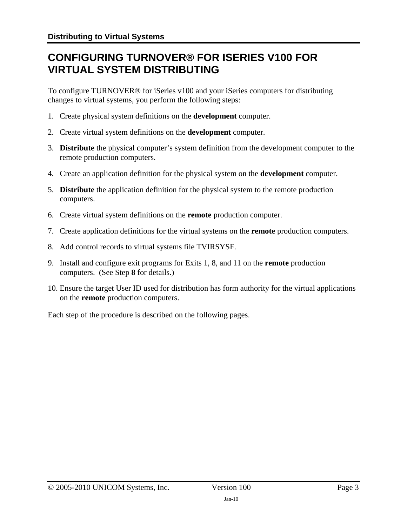# <span id="page-2-1"></span><span id="page-2-0"></span>**CONFIGURING TURNOVER® FOR ISERIES V100 FOR VIRTUAL SYSTEM DISTRIBUTING**

To configure TURNOVER® for iSeries v100 and your iSeries computers for distributing changes to virtual systems, you perform the following steps:

- 1. Create physical system definitions on the **development** computer.
- 2. Create virtual system definitions on the **development** computer.
- 3. **Distribute** the physical computer's system definition from the development computer to the remote production computers.
- 4. Create an application definition for the physical system on the **development** computer.
- 5. **Distribute** the application definition for the physical system to the remote production computers.
- <span id="page-2-3"></span>6. Create virtual system definitions on the **remote** production computer.
- <span id="page-2-4"></span>7. Create application definitions for the virtual systems on the **remote** production computers.
- <span id="page-2-2"></span>8. Add control records to virtual systems file TVIRSYSF.
- 9. Install and configure exit programs for Exits 1, 8, and 11 on the **remote** production computers. (See Step **[8](#page-2-2)** for details.)
- 10. Ensure the target User ID used for distribution has form authority for the virtual applications on the **remote** production computers.

Each step of the procedure is described on the following pages.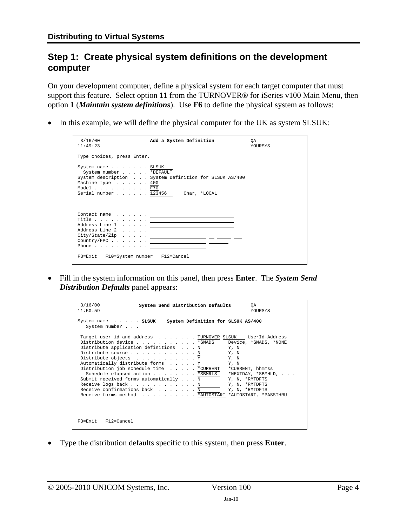### <span id="page-3-1"></span><span id="page-3-0"></span>**Step 1: Create physical system definitions on the development computer**

On your development computer, define a physical system for each target computer that must support this feature. Select option **11** from the TURNOVER® for iSeries v100 Main Menu, then option **1** (*Maintain system definitions*). Use **F6** to define the physical system as follows:

• In this example, we will define the physical computer for the UK as system SLSUK:

| 3/16/00<br>11:49:23                                                          | Add a System Definition                                                                                                                                                                                                                                                                                                                                                                                                                                        | 0A<br><b>YOURSYS</b> |
|------------------------------------------------------------------------------|----------------------------------------------------------------------------------------------------------------------------------------------------------------------------------------------------------------------------------------------------------------------------------------------------------------------------------------------------------------------------------------------------------------------------------------------------------------|----------------------|
| Type choices, press Enter.                                                   |                                                                                                                                                                                                                                                                                                                                                                                                                                                                |                      |
| System name SLSUK<br>System number *DEFAULT<br>Machine type 400<br>Model F70 | System description System Definition for SLSUK AS/400<br>Serial number 123456 Char, *LOCAL                                                                                                                                                                                                                                                                                                                                                                     |                      |
|                                                                              | $City/State/Zip \dots \dots \dots$<br>$\texttt{Country/FPC} \hspace{1.5cm} \ldots \hspace{1.5cm} \ldots \hspace{1.5cm} \ldots \hspace{1.5cm} \ldots \hspace{1.5cm} \ldots \hspace{1.5cm} \ldots \hspace{1.5cm} \ldots \hspace{1.5cm} \ldots \hspace{1.5cm} \ldots \hspace{1.5cm} \ldots \hspace{1.5cm} \ldots \hspace{1.5cm} \ldots \hspace{1.5cm} \ldots \hspace{1.5cm} \ldots \hspace{1.5cm} \ldots \hspace{1.5cm} \ldots \hspace{1.5cm} \ldots \hspace{1.5$ |                      |
| F3=Exit F10=System number F12=Cancel                                         |                                                                                                                                                                                                                                                                                                                                                                                                                                                                |                      |

• Fill in the system information on this panel, then press **Enter**. The *System Send Distribution Defaults* panel appears:

| 3/16/00<br>System Send Distribution Defaults<br>OA.<br>11:50:59<br><b>YOURSYS</b>                                                                                                                                                                                                                                                                                                                                                                                                                                                                                                                                  |  |
|--------------------------------------------------------------------------------------------------------------------------------------------------------------------------------------------------------------------------------------------------------------------------------------------------------------------------------------------------------------------------------------------------------------------------------------------------------------------------------------------------------------------------------------------------------------------------------------------------------------------|--|
| System Definition for SLSUK AS/400<br>System name SLSUK<br>System number                                                                                                                                                                                                                                                                                                                                                                                                                                                                                                                                           |  |
| Target user id and address TURNOVER SLSUK UserId-Address<br>Distribution device *SNADS<br>Device, *SNADS, *NONE<br>Distribute application definitions N<br>Y, N<br>Distribute source N<br>Y, N<br>Distribute objects Y<br>Y, N<br>Automatically distribute forms Y<br>Y, N<br>Distribution job schedule time *CURRENT<br>*CURRENT, hhmmss<br>Schedule elapsed action *SBMRLS<br>*NEXTDAY, *SBMHLD,<br>Submit received forms automatically N<br>Y, N, *RMTDFTS<br>Receive logs back N<br>Y, N, *RMTDFTS<br>Receive confirmations back N<br>Y, N, *RMTDFTS<br>Receive forms method * AUTOSTART *AUTOSTART, *PASSTHRU |  |
| $F3 = Exit$ $F12 = Cance1$                                                                                                                                                                                                                                                                                                                                                                                                                                                                                                                                                                                         |  |

• Type the distribution defaults specific to this system, then press **Enter**.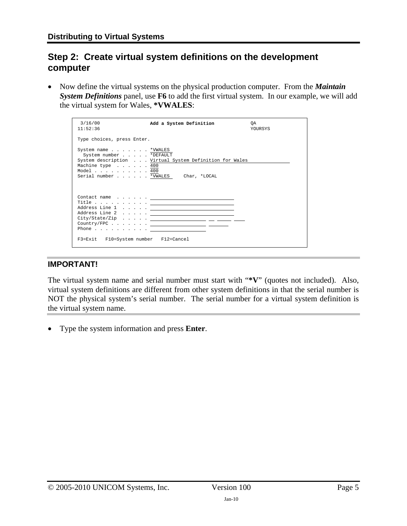## <span id="page-4-1"></span><span id="page-4-0"></span>**Step 2: Create virtual system definitions on the development computer**

• Now define the virtual systems on the physical production computer. From the *Maintain System Definitions* panel, use **F6** to add the first virtual system. In our example, we will add the virtual system for Wales, **\*VWALES**:

| 3/16/00<br>11:52:36                                                                                                                                    | Add a System Definition                                                                                                                                                                                                                                                                                                                                                                                                                                                                               | OA.<br><b>YOURSYS</b> |
|--------------------------------------------------------------------------------------------------------------------------------------------------------|-------------------------------------------------------------------------------------------------------------------------------------------------------------------------------------------------------------------------------------------------------------------------------------------------------------------------------------------------------------------------------------------------------------------------------------------------------------------------------------------------------|-----------------------|
| Type choices, press Enter.                                                                                                                             |                                                                                                                                                                                                                                                                                                                                                                                                                                                                                                       |                       |
| System name * VWALES<br>System number *DEFAULT<br>Machine type 400<br>Model $\ldots$ , $\ldots$ , $\ldots$ , 400<br>Serial number *VWALES Char, *LOCAL | System description Virtual System Definition for Wales                                                                                                                                                                                                                                                                                                                                                                                                                                                |                       |
| Phone $\ldots$ <u>_____________</u> _______<br>F3=Exit F10=System number F12=Cancel                                                                    | $\begin{array}{ccccccccccccccccc} \texttt{Contact name} & . & . & . & . & . & \textcolor{red}{\textbf{1} & \texttt{0} & \texttt{0} & \texttt{0} & \texttt{0} & \texttt{0} & \texttt{0} & \texttt{0} & \texttt{0} & \texttt{0} & \texttt{0} & \texttt{0} & \texttt{0} & \texttt{0} & \texttt{0} & \texttt{0} & \texttt{0} & \texttt{0} & \texttt{0} & \texttt{0} & \texttt{0} & \texttt{0} & \texttt{0} & \texttt{0} & \texttt{0} & \texttt{0} & \texttt$<br>Address Line 2 $\cdots$ . $\qquad \qquad$ |                       |

### **IMPORTANT!**

The virtual system name and serial number must start with "**\*V**" (quotes not included). Also, virtual system definitions are different from other system definitions in that the serial number is NOT the physical system's serial number. The serial number for a virtual system definition is the virtual system name.

• Type the system information and press **Enter**.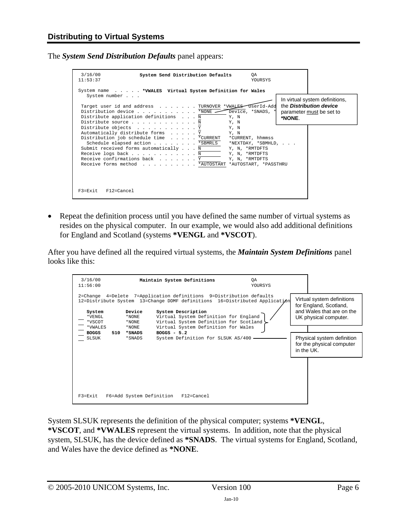The *System Send Distribution Defaults* panel appears:

| 3/16/00<br>System Send Distribution Defaults<br>0A<br>11:53:37<br>YOURSYS                                                                                                                                                                                                                                                                                                                                        |        |                                                                                              |
|------------------------------------------------------------------------------------------------------------------------------------------------------------------------------------------------------------------------------------------------------------------------------------------------------------------------------------------------------------------------------------------------------------------|--------|----------------------------------------------------------------------------------------------|
| System name *VWALES Virtual System Definition for Wales<br>System number<br>UserId-Add<br>Target user id and address TURNOVER *VWALES<br>Distribution device *NONE<br>Device, *SNADS, *<br>Distribute application definitions N<br>Y, N<br>Distribute source N<br>Y, N                                                                                                                                           | *NONE. | In virtual system definitions,<br>the <b>Distribution device</b><br>parameter must be set to |
| Distribute objects Y<br>Y, N<br>Automatically distribute forms Y<br>Y, N<br>Distribution job schedule time *CURRENT<br>*CURRENT, hhmmss<br>Schedule elapsed action *SBMRLS<br>*NEXTDAY, *SBMHLD,<br>Submit received forms automatically N<br>Y, N, *RMTDFTS<br>Receive logs back N<br>Y, N, *RMTDFTS<br>Receive confirmations back Y<br>Y, N, *RMTDFTS<br>Receive forms method * AUTOSTART *AUTOSTART, *PASSTHRU |        |                                                                                              |
| F3=Exit<br>F12=Cancel                                                                                                                                                                                                                                                                                                                                                                                            |        |                                                                                              |

• Repeat the definition process until you have defined the same number of virtual systems as resides on the physical computer. In our example, we would also add additional definitions for England and Scotland (systems **\*VENGL** and **\*VSCOT**).

After you have defined all the required virtual systems, the *Maintain System Definitions* panel looks like this:

| 3/16/00<br>11:56:00          |                             | Maintain System Definitions                                                                                                                                                                                                                                  | OA<br>YOURSYS |            |                                                                                                            |
|------------------------------|-----------------------------|--------------------------------------------------------------------------------------------------------------------------------------------------------------------------------------------------------------------------------------------------------------|---------------|------------|------------------------------------------------------------------------------------------------------------|
| System<br>*VENGL<br>*VSCOT   | Device<br>*NONE<br>$*$ NONE | 2=Change 4=Delete 7=Application definitions 9=Distribution defaults<br>12=Distribute System 13=Change DDMF definitions 16=Distributed Application<br>System Description<br>Virtual System Definition for England<br>Virtual System Definition for Scotland > |               |            | Virtual system definitions<br>for England, Scotland,<br>and Wales that are on the<br>UK physical computer. |
| *VWALES                      | $*$ NONE                    | Virtual System Definition for Wales                                                                                                                                                                                                                          |               |            |                                                                                                            |
| <b>BOGGS</b><br>510<br>SLSUK | * SNADS<br>*SNADS           | $BOGGS - 5.2$<br>System Definition for SLSUK AS/400                                                                                                                                                                                                          |               | in the UK. | Physical system definition<br>for the physical computer                                                    |
| $F3 = Exit$                  | F6=Add System Definition    | $F12 = Cancel$                                                                                                                                                                                                                                               |               |            |                                                                                                            |

System SLSUK represents the definition of the physical computer; systems **\*VENGL**, **\*VSCOT**, and **\*VWALES** represent the virtual systems. In addition, note that the physical system, SLSUK, has the device defined as **\*SNADS**. The virtual systems for England, Scotland, and Wales have the device defined as **\*NONE**.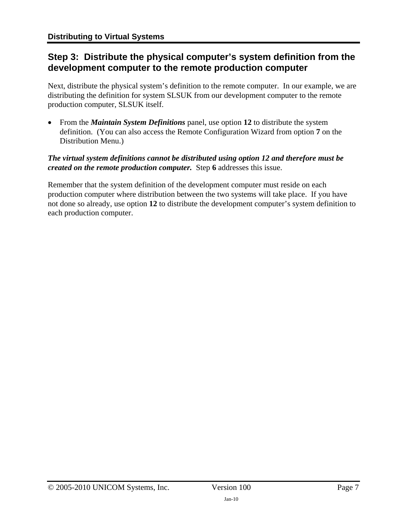## <span id="page-6-1"></span><span id="page-6-0"></span>**Step 3: Distribute the physical computer's system definition from the development computer to the remote production computer**

Next, distribute the physical system's definition to the remote computer. In our example, we are distributing the definition for system SLSUK from our development computer to the remote production computer, SLSUK itself.

• From the *Maintain System Definitions* panel, use option **12** to distribute the system definition. (You can also access the Remote Configuration Wizard from option **7** on the Distribution Menu.)

#### *The virtual system definitions cannot be distributed using option 12 and therefore must be created on the remote production computer.* Step **[6](#page-2-3)** addresses this issue.

Remember that the system definition of the development computer must reside on each production computer where distribution between the two systems will take place. If you have not done so already, use option **12** to distribute the development computer's system definition to each production computer.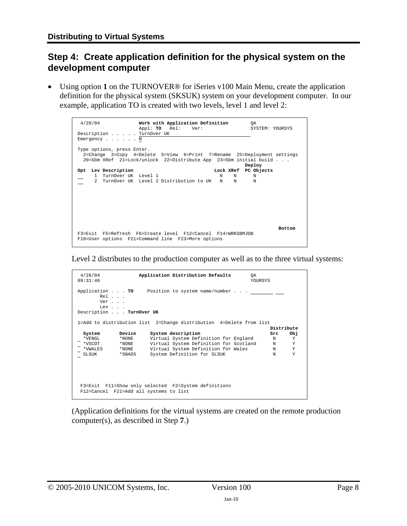## <span id="page-7-1"></span><span id="page-7-0"></span>**Step 4: Create application definition for the physical system on the development computer**

• Using option **1** on the TURNOVER® for iSeries v100 Main Menu, create the application definition for the physical system (SKSUK) system on your development computer. In our example, application TO is created with two levels, level 1 and level 2:

| 4/28/04<br>Description TurnOver UK<br>Emergency $\ldots$ $\ldots$ N | Work with Application Definition<br>OA<br>Appl: TO Rel: Ver:                                                                                 | SYSTEM: YOURSYS |
|---------------------------------------------------------------------|----------------------------------------------------------------------------------------------------------------------------------------------|-----------------|
| Type options, press Enter.                                          | 2=Change 3=Copy 4=Delete 5=View 6=Print 7=Rename 25=Deployment settings<br>20=Sbm XRef 21=Lock/unlock 22=Distribute App 23=Sbm initial build | Deploy          |
| Opt Lev Description<br>1 TurnOver UK Level 1                        | Lock XRef PC Objects<br>N<br>N<br>2 TurnOver UK Level 2 Distribution to UK N N                                                               | N<br>N          |
|                                                                     | F3=Exit F5=Refresh F6=Create level F12=Cancel F14=WRKSBMJOB<br>F16=User options F21=Command line F23=More options                            | <b>Bottom</b>   |

Level 2 distributes to the production computer as well as to the three virtual systems:

| 4/28/04<br>09:31:46     |                     | Application Distribution Defaults                                   | OA<br>YOURSYS |
|-------------------------|---------------------|---------------------------------------------------------------------|---------------|
|                         | Rel<br>Ver<br>$Lev$ | Application TO Position to system name/number                       |               |
| Description TurnOver UK |                     |                                                                     |               |
|                         |                     | 1=Add to distribution list 2=Change distribution 4=Delete from list |               |
|                         |                     |                                                                     | Distribute    |
| System                  | Device              | System description                                                  | OЬi<br>Src    |
| *VENGL                  | *NONE               | Virtual System Definition for England                               | Y<br>N        |
| *VSCOT                  | *NONE               | Virtual System Definition for Scotland                              | Y<br>N        |
| *VWALES                 | $*$ NONE            | Virtual System Definition for Wales                                 | Y<br>N        |
| SLSUK                   | *SNADS              | System Definition for SLSUK                                         | Y<br>N        |
|                         |                     |                                                                     |               |
|                         |                     |                                                                     |               |
|                         |                     |                                                                     |               |
|                         |                     | F3=Exit F11=Show only selected F2=System definitions                |               |
|                         |                     | F12=Cancel F21=Add all systems to list                              |               |
|                         |                     |                                                                     |               |

(Application definitions for the virtual systems are created on the remote production computer(s), as described in Step **[7](#page-2-4)**.)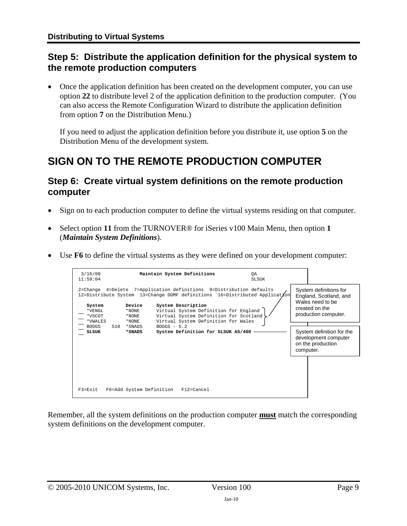## <span id="page-8-1"></span><span id="page-8-0"></span>**Step 5: Distribute the application definition for the physical system to the remote production computers**

• Once the application definition has been created on the development computer, you can use option **22** to distribute level 2 of the application definition to the production computer. (You can also access the Remote Configuration Wizard to distribute the application definition from option **7** on the Distribution Menu.)

If you need to adjust the application definition before you distribute it, use option **5** on the Distribution Menu of the development system.

# <span id="page-8-2"></span>**SIGN ON TO THE REMOTE PRODUCTION COMPUTER**

## <span id="page-8-3"></span>**Step 6: Create virtual system definitions on the remote production computer**

- Sign on to each production computer to define the virtual systems residing on that computer.
- Select option **11** from the TURNOVER® for iSeries v100 Main Menu, then option **1** (*Maintain System Definitions*).
- Use **F6** to define the virtual systems as they were defined on your development computer:

| 3/16/00<br>11:59:04                                                   |     |                                                          | Maintain System Definitions                                                                                                                                                                                                                                                                                                                              | ОA<br><b>SLSUK</b> |                                                                                                                                                                                                       |
|-----------------------------------------------------------------------|-----|----------------------------------------------------------|----------------------------------------------------------------------------------------------------------------------------------------------------------------------------------------------------------------------------------------------------------------------------------------------------------------------------------------------------------|--------------------|-------------------------------------------------------------------------------------------------------------------------------------------------------------------------------------------------------|
| System<br>*VENGL<br>*VSCOT<br>*VWALES<br><b>BOGGS</b><br><b>SLSUK</b> | 510 | Device<br>*NONE<br>$*$ NONE<br>*NONE<br>*SNADS<br>*SNADS | 2=Change 4=Delete 7=Application definitions 9=Distribution defaults<br>12=Distribute System 13=Change DDMF definitions 16=Distributed Applicat/on<br>System Description<br>Virtual System Definition for England<br>Virtual System Definition for Scotland<br>Virtual System Definition for Wales<br>$BOGGS - 5.2$<br>System Definition for SLSUK AS/400 |                    | System definitions for<br>England, Scotland, and<br>Wales need to be<br>created on the<br>production computer.<br>System definition for the<br>development computer<br>on the production<br>computer. |
| $F3 = Fx i t$                                                         |     | F6=Add System Definition                                 | $F12 = Cancel$                                                                                                                                                                                                                                                                                                                                           |                    |                                                                                                                                                                                                       |

Remember, all the system definitions on the production computer **must** match the corresponding system definitions on the development computer.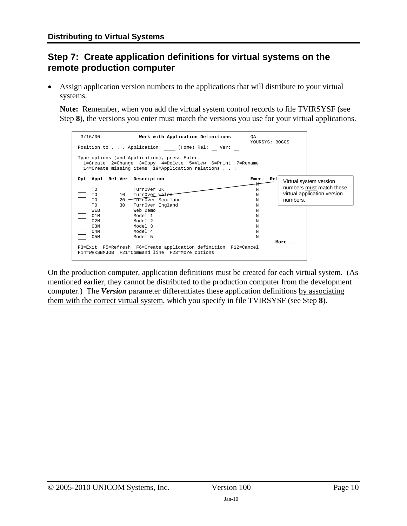# <span id="page-9-1"></span><span id="page-9-0"></span>**Step 7: Create application definitions for virtual systems on the remote production computer**

Assign application version numbers to the applications that will distribute to your virtual systems.

**Note:**Remember, when you add the virtual system control records to file TVIRSYSF (see Step **[8](#page-2-2)**), the versions you enter must match the versions you use for your virtual applications.

| 3/16/00                                          | Work with Application Definitions<br>Position to Application: (Home) Rel: Ver:                                                                                | QA<br>YOURSYS: BOGGS   |          |                                                                                   |
|--------------------------------------------------|---------------------------------------------------------------------------------------------------------------------------------------------------------------|------------------------|----------|-----------------------------------------------------------------------------------|
|                                                  | Type options (and Application), press Enter.<br>1=Create 2=Change 3=Copy 4=Delete 5=View 6=Print 7=Rename<br>14=Create missing items 19=Application relations |                        |          |                                                                                   |
| Opt Appl Rel Ver Description<br>TO.<br>TO.<br>10 | TurnOver UK<br>TurnOver Wales                                                                                                                                 | Emer.<br>Rel<br>N<br>N |          | Virtual system version<br>numbers must match these<br>virtual application version |
| <b>TO</b>                                        | 20 TurnOver Scotland                                                                                                                                          | N                      | numbers. |                                                                                   |
| <b>TO</b><br>30<br><b>WEB</b>                    | TurnOver England<br>Web Demo                                                                                                                                  | N<br>N                 |          |                                                                                   |
| 01M                                              | Model 1                                                                                                                                                       | N                      |          |                                                                                   |
| 02M                                              | Model 2                                                                                                                                                       | N                      |          |                                                                                   |
| 0 3 M                                            | Model 3                                                                                                                                                       | N                      |          |                                                                                   |
| 04M                                              | Model 4                                                                                                                                                       | N                      |          |                                                                                   |
| 0.5M                                             | Model 5<br>F3=Exit F5=Refresh F6=Create application definition F12=Cancel<br>F14=WRKSBMJOB F21=Command line F23=More options                                  | N                      | More     |                                                                                   |

On the production computer, application definitions must be created for each virtual system. (As mentioned earlier, they cannot be distributed to the production computer from the development computer.) The *Version* parameter differentiates these application definitions by associating them with the correct virtual system, which you specify in file TVIRSYSF (see Step **[8](#page-2-2)**).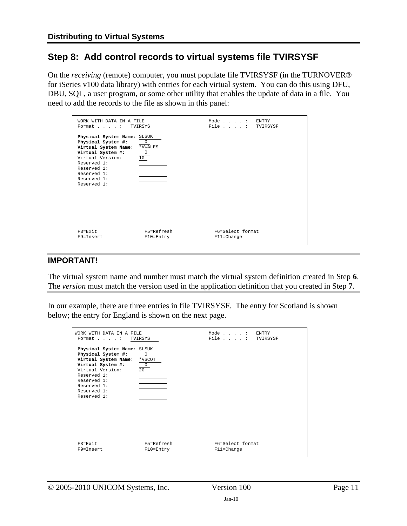## <span id="page-10-1"></span><span id="page-10-0"></span>**Step 8: Add control records to virtual systems file TVIRSYSF**

On the *receiving* (remote) computer, you must populate file TVIRSYSF (in the TURNOVER® for iSeries v100 data library) with entries for each virtual system. You can do this using DFU, DBU, SQL, a user program, or some other utility that enables the update of data in a file. You need to add the records to the file as shown in this panel:

| WORK WITH DATA IN A FILE<br>Format : TVIRSYS                                                                                                                                                  |                                                | Mode: ENTRY<br>File : TVIRSYSF     |  |
|-----------------------------------------------------------------------------------------------------------------------------------------------------------------------------------------------|------------------------------------------------|------------------------------------|--|
| Physical System Name: SLSUK<br>Physical System #:<br>Virtual System Name:<br>Virtual System #:<br>Virtual Version:<br>Reserved 1:<br>Reserved 1:<br>Reserved 1:<br>Reserved 1:<br>Reserved 1: | $\mathbf 0$<br>*VWALES<br>$\overline{0}$<br>10 |                                    |  |
| $F3 = Fx i t$<br>F9=Tnsert                                                                                                                                                                    | F5=Refresh<br>$F10 = Entry$                    | F6=Select format<br>$F11 = Change$ |  |

#### **IMPORTANT!**

The virtual system name and number must match the virtual system definition created in Step **[6](#page-2-3)**. The *version* must match the version used in the application definition that you created in Step **[7](#page-2-4)**.

In our example, there are three entries in file TVIRSYSF. The entry for Scotland is shown below; the entry for England is shown on the next page.

| WORK WITH DATA IN A FILE<br>Format : TVIRSYS                                                                                                                                                  |                                     | Mode: ENTRY<br>File : TVIRSYSF     |  |
|-----------------------------------------------------------------------------------------------------------------------------------------------------------------------------------------------|-------------------------------------|------------------------------------|--|
| Physical System Name: SLSUK<br>Physical System #:<br>Virtual System Name:<br>Virtual System #:<br>Virtual Version:<br>Reserved 1:<br>Reserved 1:<br>Reserved 1:<br>Reserved 1:<br>Reserved 1: | 0<br>*VSCOT<br>$\overline{0}$<br>20 |                                    |  |
| $F3 = Fx i t$<br>$F9 = Tn$ sert                                                                                                                                                               | F5=Refresh<br>$F10 = Entry$         | F6=Select format<br>$F11 = Change$ |  |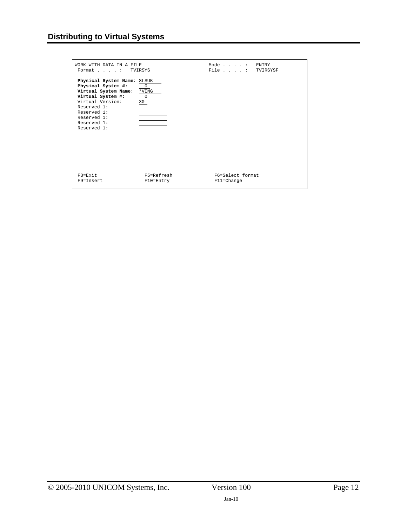| WORK WITH DATA IN A FILE<br>Format : TVIRSYS                                                                                                                                                  |                                                    | Mode: ENTRY<br>File : TVIRSYSF     |  |
|-----------------------------------------------------------------------------------------------------------------------------------------------------------------------------------------------|----------------------------------------------------|------------------------------------|--|
| Physical System Name: SLSUK<br>Physical System #:<br>Virtual System Name:<br>Virtual System #:<br>Virtual Version:<br>Reserved 1:<br>Reserved 1:<br>Reserved 1:<br>Reserved 1:<br>Reserved 1: | $\overline{0}$<br>$*$ VENG<br>$\overline{0}$<br>30 |                                    |  |
| $F3 = Fx i t$<br>$F9 = Tn$ sert                                                                                                                                                               | F5=Refresh<br>$F10 = Entry$                        | F6=Select format<br>$F11 = Change$ |  |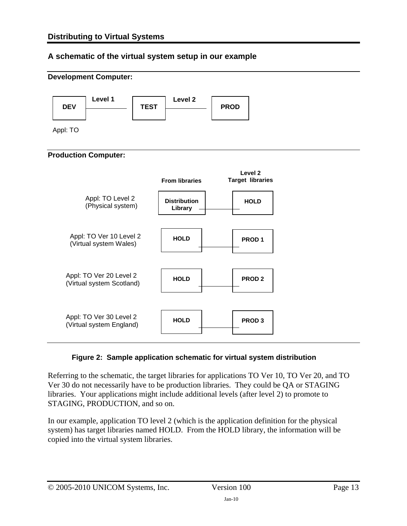### **A schematic of the virtual system setup in our example**



#### **Figure 2: Sample application schematic for virtual system distribution**

Referring to the schematic, the target libraries for applications TO Ver 10, TO Ver 20, and TO Ver 30 do not necessarily have to be production libraries. They could be QA or STAGING libraries. Your applications might include additional levels (after level 2) to promote to STAGING, PRODUCTION, and so on.

In our example, application TO level 2 (which is the application definition for the physical system) has target libraries named HOLD. From the HOLD library, the information will be copied into the virtual system libraries.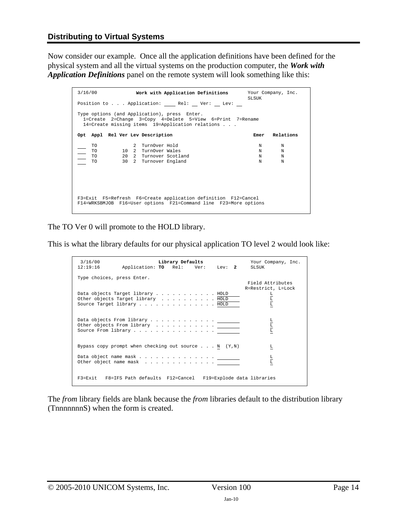Now consider our example. Once all the application definitions have been defined for the physical system and all the virtual systems on the production computer, the *Work with Application Definitions* panel on the remote system will look something like this:

| 3/16/00                             | Work with Application Definitions Your Company, Inc.                                                                                                                | <b>SLSUK</b>                         |
|-------------------------------------|---------------------------------------------------------------------------------------------------------------------------------------------------------------------|--------------------------------------|
|                                     | Position to Application: Rel: Ver: Lev:                                                                                                                             |                                      |
|                                     | Type options (and Application), press Enter.<br>1=Create 2=Change 3=Copy 4=Delete 5=View 6=Print 7=Rename<br>$14$ =Create missing items $19$ =Application relations |                                      |
|                                     | Opt Appl Rel Ver Lev Description                                                                                                                                    | Relations<br>Emer                    |
| <b>TO</b><br><b>TO</b><br>TO.<br>TO | 2 TurnOver Hold<br>10 2 TurnOver Wales<br>20 2 Turnover Scotland<br>30 2 Turnover England                                                                           | N<br>N<br>N<br>N<br>N<br>N<br>N<br>N |
|                                     | F3=Exit F5=Refresh F6=Create application definition F12=Cancel<br>F14=WRKSBMJOB F16=User options F21=Command line F23=More options                                  |                                      |

The TO Ver 0 will promote to the HOLD library.

This is what the library defaults for our physical application TO level 2 would look like:

| 3/16/00<br>12:19:16        | Application: TO Rel: Ver: Lev: 2                                                                    | Library Defaults |  | Your Company, Inc.<br><b>SLSUK</b>                |
|----------------------------|-----------------------------------------------------------------------------------------------------|------------------|--|---------------------------------------------------|
| Type choices, press Enter. |                                                                                                     |                  |  | Field Attributes                                  |
|                            | Data objects Target library HOLD<br>Other objects Target library HOLD<br>Source Target library HOLD |                  |  | R=Restrict, L=Lock<br>$\frac{\text{L}}{\text{L}}$ |
|                            | Other objects From library<br>Source From library <u>.</u>                                          |                  |  | エミエ                                               |
|                            | Bypass copy prompt when checking out source N $(Y,N)$                                               |                  |  | L                                                 |
|                            | Other object name mask                                                                              |                  |  | $\frac{L}{L}$                                     |
|                            | F3=Exit F8=IFS Path defaults F12=Cancel F19=Explode data libraries                                  |                  |  |                                                   |

The *from* library fields are blank because the *from* libraries default to the distribution library (TnnnnnnnS) when the form is created.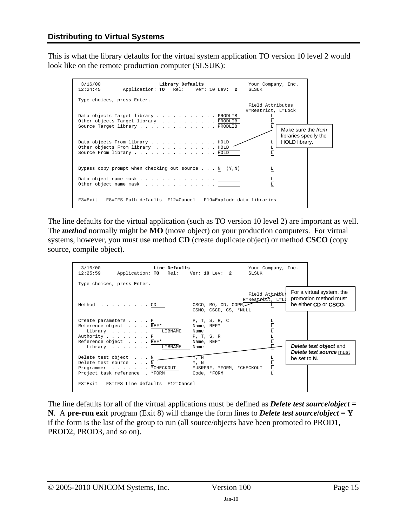This is what the library defaults for the virtual system application TO version 10 level 2 would look like on the remote production computer (SLSUK):



The line defaults for the virtual application (such as TO version 10 level 2) are important as well. The *method* normally might be **MO** (move object) on your production computers. For virtual systems, however, you must use method **CD** (create duplicate object) or method **CSCO** (copy source, compile object).

| Line Defaults<br>3/16/00<br>12:25:59<br>Application: TO Rel: Ver: 10 Lev: 2                                        |                                                   | Your Company, Inc.<br><b>SLSUK</b>      |              |                                                                             |
|--------------------------------------------------------------------------------------------------------------------|---------------------------------------------------|-----------------------------------------|--------------|-----------------------------------------------------------------------------|
| Type choices, press Enter.<br>Method CD                                                                            | CSCO, MO, CD, COPR,<br>CSMO, CSCD, CS, *NULL      | Field Attribut<br>R=Restrict, L=Ld<br>L |              | For a virtual system, the<br>promotion method must<br>be either CD or CSCO. |
| Create parameters P<br>Reference object REF* Name, REF*<br>Library LIBNAME<br>Authority P<br>Reference object REF* | P, T, S, R, C<br>Name<br>P, T, S, R<br>Name, REF* | エニュニュー                                  |              |                                                                             |
| Library LIBNAME<br>Delete test object N<br>Delete test source N                                                    | Name<br>Y, N<br>Y, N                              |                                         | be set to N. | <b>Delete test object and</b><br><b>Delete test source must</b>             |
| Programmer * CHECKOUT<br>Project task reference . *FORM<br>F3=Exit F8=IFS Line defaults F12=Cancel                 | *USRPRF, *FORM, *CHECKOUT<br>Code, *FORM          | $\frac{\text{L}}{\text{L}}$             |              |                                                                             |

The line defaults for all of the virtual applications must be defined as *Delete test sourcelobject* = **N**. A **pre-run exit** program (Exit 8) will change the form lines to *Delete test sourcelobject* = **Y** if the form is the last of the group to run (all source/objects have been promoted to PROD1, PROD2, PROD3, and so on).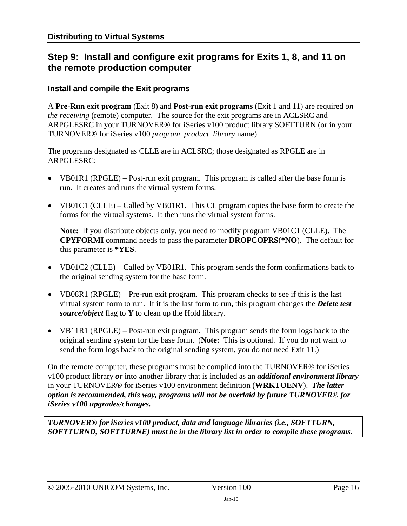# <span id="page-15-1"></span><span id="page-15-0"></span>**Step 9: Install and configure exit programs for Exits 1, 8, and 11 on the remote production computer**

### **Install and compile the Exit programs**

A **Pre-Run exit program** (Exit 8) and **Post-run exit programs** (Exit 1 and 11) are required *on the receiving* (remote) computer. The source for the exit programs are in ACLSRC and ARPGLESRC in your TURNOVER® for iSeries v100 product library SOFTTURN (or in your TURNOVER® for iSeries v100 *program\_product\_library* name).

The programs designated as CLLE are in ACLSRC; those designated as RPGLE are in ARPGLESRC:

- VB01R1 (RPGLE) Post-run exit program. This program is called after the base form is run. It creates and runs the virtual system forms.
- VB01C1 (CLLE) Called by VB01R1. This CL program copies the base form to create the forms for the virtual systems. It then runs the virtual system forms.

**Note:** If you distribute objects only, you need to modify program VB01C1 (CLLE). The **CPYFORMI** command needs to pass the parameter **DROPCOPRS**(**\*NO**). The default for this parameter is **\*YES**.

- VB01C2 (CLLE) Called by VB01R1. This program sends the form confirmations back to the original sending system for the base form.
- VB08R1 (RPGLE) Pre-run exit program. This program checks to see if this is the last virtual system form to run. If it is the last form to run, this program changes the *Delete test source***/***object* flag to **Y** to clean up the Hold library.
- VB11R1 (RPGLE) Post-run exit program. This program sends the form logs back to the original sending system for the base form. (**Note:** This is optional. If you do not want to send the form logs back to the original sending system, you do not need Exit 11.)

On the remote computer, these programs must be compiled into the TURNOVER® for iSeries v100 product library *or* into another library that is included as an *additional environment library* in your TURNOVER® for iSeries v100 environment definition (**WRKTOENV**). *The latter option is recommended, this way, programs will not be overlaid by future TURNOVER® for iSeries v100 upgrades/changes.* 

*TURNOVER® for iSeries v100 product, data and language libraries (i.e., SOFTTURN, SOFTTURND, SOFTTURNE) must be in the library list in order to compile these programs.*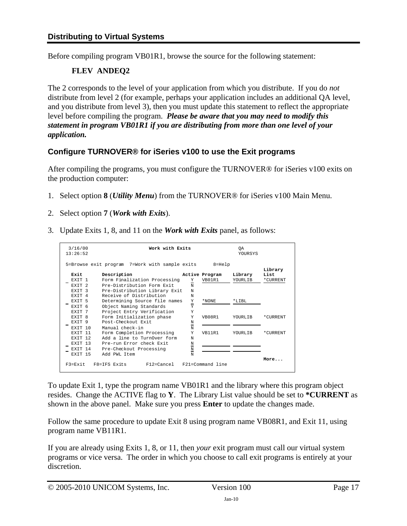Before compiling program VB01R1, browse the source for the following statement:

### **FLEV ANDEQ2**

The 2 corresponds to the level of your application from which you distribute. If you do *not* distribute from level 2 (for example, perhaps your application includes an additional QA level, and you distribute from level 3), then you must update this statement to reflect the appropriate level before compiling the program. *Please be aware that you may need to modify this statement in program VB01R1 if you are distributing from more than one level of your application.* 

### **Configure TURNOVER® for iSeries v100 to use the Exit programs**

After compiling the programs, you must configure the TURNOVER® for iSeries v100 exits on the production computer:

- 1. Select option **8** (*Utility Menu*) from the TURNOVER® for iSeries v100 Main Menu.
- 2. Select option **7** (*Work with Exits*).
- 3. Update Exits 1, 8, and 11 on the *Work with Exits* panel, as follows:

| 3/16/00<br>13:26:52 | Work with Exits                                |                               |                  | ОA<br><b>YOURSYS</b> |          |
|---------------------|------------------------------------------------|-------------------------------|------------------|----------------------|----------|
|                     | 5=Browse exit program 7=Work with sample exits |                               | $8 = He1p$       |                      | Library  |
| Rxit                | Description                                    |                               | Active Program   | Library              | List     |
| EXTT <sub>1</sub>   | Form Finalization Processing                   | Y                             | VB01R1           | YOURLIB              | *CURRENT |
| EXTT <sub>2</sub>   | Pre-Distribution Form Exit                     | N                             |                  |                      |          |
| EXTT <sub>3</sub>   | Pre-Distribution Library Exit                  | N                             |                  |                      |          |
| EXTT 4              | Receive of Distribution                        | N                             |                  |                      |          |
| EXTT <sub>5</sub>   | Determining Source file names                  | Y<br>-                        | *NONE            | $*$ T.TBL            |          |
| EXTT <sub>6</sub>   | Object Naming Standards                        | Y                             |                  |                      |          |
| EXTT 7              | Project Entry Verification                     | Y                             |                  |                      |          |
| EXTT 8              | Form Initialization phase                      | Y                             | VB08R1           | YOURLTB              | *CURRENT |
| EXTT 9              | Post-Checkout Exit                             | N                             |                  |                      |          |
| EXTT 10             | Manual check-in                                | N                             |                  |                      |          |
| EXTT 11             | Form Completion Processing                     | Y                             | VB11R1           | YOURLIB              | *CURRENT |
| EXTT <sub>12</sub>  | Add a line to TurnOver form                    | N                             |                  |                      |          |
| EXTT 13             | Pre-run Error check Exit                       | N<br>$\overline{\phantom{0}}$ |                  |                      |          |
| EXTT 14             | Pre-Checkout Processing                        | $\overline{\mathbf{N}}$       |                  |                      |          |
| EXTT 15             | Add PWL Item                                   | N                             |                  |                      |          |
| $F3 = Fx i t$       | F8=TFS Exits<br>$F12 = Cancel$                 |                               | F21=Command line |                      | More     |

To update Exit 1, type the program name VB01R1 and the library where this program object resides. Change the ACTIVE flag to **Y**. The Library List value should be set to **\*CURRENT** as shown in the above panel. Make sure you press **Enter** to update the changes made.

Follow the same procedure to update Exit 8 using program name VB08R1, and Exit 11, using program name VB11R1.

If you are already using Exits 1, 8, or 11, then *your* exit program must call our virtual system programs or vice versa. The order in which you choose to call exit programs is entirely at your discretion.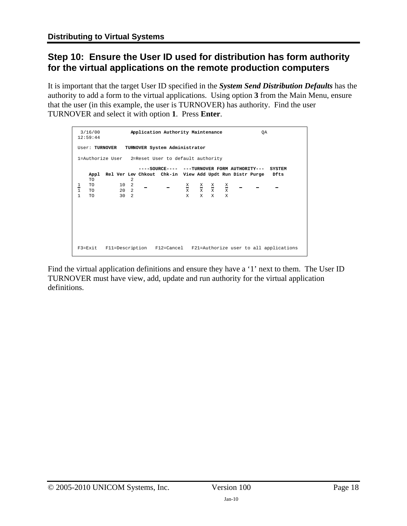# <span id="page-17-1"></span><span id="page-17-0"></span>**Step 10: Ensure the User ID used for distribution has form authority for the virtual applications on the remote production computers**

It is important that the target User ID specified in the *System Send Distribution Defaults* has the authority to add a form to the virtual applications. Using option **3** from the Main Menu, ensure that the user (in this example, the user is TURNOVER) has authority. Find the user TURNOVER and select it with option **1**. Press **Enter**.

```
 3/16/00 Application Authority Maintenance QA 
12:59:44 
User: TURNOVER TURNOVER System Administrator 
1=Authorize User 2=Reset User to default authority 
                   ----SOURCE---- ---TURNOVER FORM AUTHORITY--- SYSTEM 
   Appl Rel Ver Lev Chkout Chk-in View Add Updt Run Distr Purge Dfts 
TO 2 
1 TO 10 2 X X X X 
1 TO 20 2 X X X X 
1 TO 30 2 X X X X 
F3=Exit F11=Description F12=Cancel F21=Authorize user to all applications
```
Find the virtual application definitions and ensure they have a '1' next to them. The User ID TURNOVER must have view, add, update and run authority for the virtual application definitions.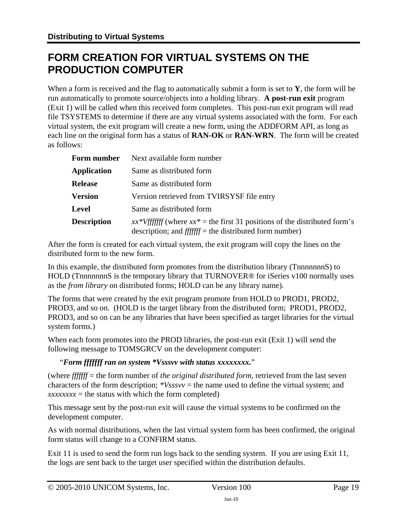# <span id="page-18-1"></span><span id="page-18-0"></span>**FORM CREATION FOR VIRTUAL SYSTEMS ON THE PRODUCTION COMPUTER**

When a form is received and the flag to automatically submit a form is set to **Y**, the form will be run automatically to promote source/objects into a holding library. **A post-run exit** program (Exit 1) will be called when this received form completes. This post-run exit program will read file TSYSTEMS to determine if there are any virtual systems associated with the form. For each virtual system, the exit program will create a new form, using the ADDFORM API, as long as each line on the original form has a status of **RAN-OK** or **RAN-WRN**. The form will be created as follows:

| Form number        | Next available form number                                                                                                               |  |  |
|--------------------|------------------------------------------------------------------------------------------------------------------------------------------|--|--|
| <b>Application</b> | Same as distributed form                                                                                                                 |  |  |
| <b>Release</b>     | Same as distributed form                                                                                                                 |  |  |
| <b>Version</b>     | Version retrieved from TVIRSYSF file entry                                                                                               |  |  |
| <b>Level</b>       | Same as distributed form                                                                                                                 |  |  |
| <b>Description</b> | $xx*Vffffff$ (where $xx*$ = the first 31 positions of the distributed form's<br>description; and $ffffff$ = the distributed form number) |  |  |

After the form is created for each virtual system, the exit program will copy the lines on the distributed form to the new form.

In this example, the distributed form promotes from the distribution library (TnnnnnnnS) to HOLD (TnnnnnnnS is the temporary library that TURNOVER<sup>®</sup> for iSeries v100 normally uses as the *from library* on distributed forms; HOLD can be any library name).

The forms that were created by the exit program promote from HOLD to PROD1, PROD2, PROD3, and so on. (HOLD is the target library from the distributed form; PROD1, PROD2, PROD3, and so on can be any libraries that have been specified as target libraries for the virtual system forms.)

When each form promotes into the PROD libraries, the post-run exit (Exit 1) will send the following message to TOMSGRCV on the development computer:

### "*Form fffffff ran on system \*Vsssvv with status xxxxxxxx.*"

(where *fffffff* = the form number of *the original distributed form*, retrieved from the last seven characters of the form description; *\*Vsssvv* = the name used to define the virtual system; and  $xxxxxxx =$  the status with which the form completed)

This message sent by the post-run exit will cause the virtual systems to be confirmed on the development computer.

As with normal distributions, when the last virtual system form has been confirmed, the original form status will change to a CONFIRM status.

Exit 11 is used to send the form run logs back to the sending system. If you are using Exit 11, the logs are sent back to the target user specified within the distribution defaults.